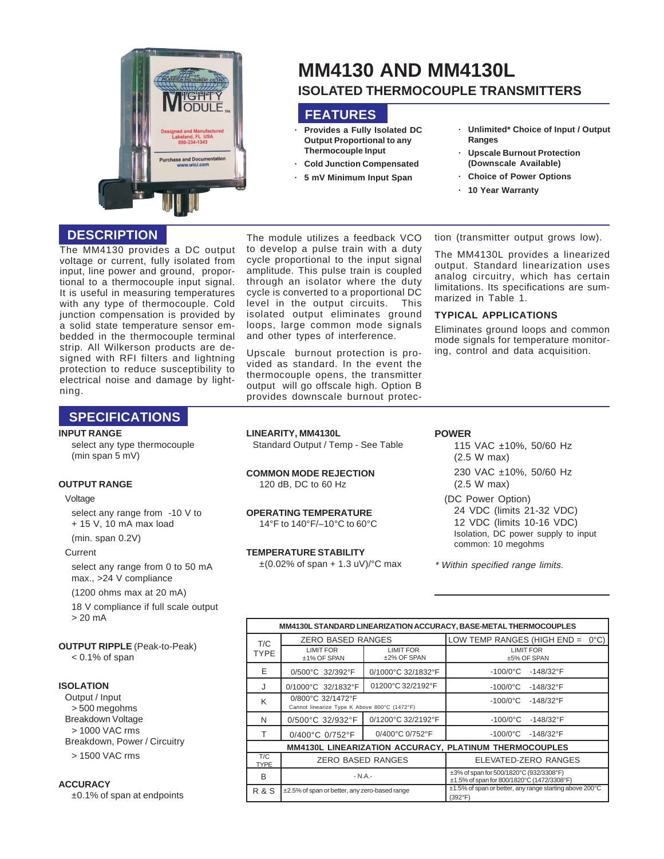

# **MM4130 AND MM4130L ISOLATED THERMOCOUPLE TRANSMITTERS**

# **FEATURES**

- **· Provides a Fully Isolated DC Output Proportional to any Thermocouple Input**
- **· Cold Junction Compensated**
- **· 5 mV Minimum Input Span**
- **· Unlimited\* Choice of Input / Output Ranges**
- **· Upscale Burnout Protection (Downscale Available)**
- **· Choice of Power Options**
- **· 10 Year Warranty**

## **DESCRIPTION**

The MM4130 provides a DC output voltage or current, fully isolated from input, line power and ground, proportional to a thermocouple input signal. It is useful in measuring temperatures with any type of thermocouple. Cold junction compensation is provided by a solid state temperature sensor embedded in the thermocouple terminal strip. All Wilkerson products are designed with RFI filters and lightning protection to reduce susceptibility to electrical noise and damage by lightning.

The module utilizes a feedback VCO to develop a pulse train with a duty cycle proportional to the input signal amplitude. This pulse train is coupled through an isolator where the duty cycle is converted to a proportional DC level in the output circuits. This isolated output eliminates ground loops, large common mode signals and other types of interference.

Upscale burnout protection is provided as standard. In the event the thermocouple opens, the transmitter output will go offscale high. Option B provides downscale burnout protection (transmitter output grows low).

The MM4130L provides a linearized output. Standard linearization uses analog circuitry, which has certain limitations. Its specifications are summarized in Table 1.

#### **TYPICAL APPLICATIONS**

Eliminates ground loops and common mode signals for temperature monitoring, control and data acquisition.

## **SPECIFICATIONS**

#### **INPUT RANGE**

select any type thermocouple (min span 5 mV)

#### **OUTPUT RANGE**

#### Voltage

select any range from -10 V to + 15 V, 10 mA max load

(min. span 0.2V)

#### **Current**

select any range from 0 to 50 mA max., >24 V compliance

(1200 ohms max at 20 mA)

18 V compliance if full scale output > 20 mA

# **OUTPUT RIPPLE** (Peak-to-Peak)

< 0.1% of span

#### **ISOLATION**

Output / Input > 500 megohms Breakdown Voltage > 1000 VAC rms Breakdown, Power / Circuitry > 1500 VAC rms

#### **ACCURACY**

±0.1% of span at endpoints

#### **LINEARITY, MM4130L**

Standard Output / Temp - See Table

**COMMON MODE REJECTION** 120 dB, DC to 60 Hz

**OPERATING TEMPERATURE** 14°F to 140°F/–10°C to 60°C

#### **TEMPERATURE STABILITY**

 $\pm$ (0.02% of span + 1.3 uV)/°C max

**POWER**

- 115 VAC ±10%, 50/60 Hz (2.5 W max) 230 VAC ±10%, 50/60 Hz (2.5 W max)
- (DC Power Option) 24 VDC (limits 21-32 VDC) 12 VDC (limits 10-16 VDC) Isolation, DC power supply to input common: 10 megohms

\* Within specified range limits.

| MM4130L STANDARD LINEARIZATION ACCURACY, BASE-METAL THERMOCOUPLES |                                                                   |                                 |                                                                                       |  |  |
|-------------------------------------------------------------------|-------------------------------------------------------------------|---------------------------------|---------------------------------------------------------------------------------------|--|--|
| T/C<br>TYPE                                                       | <b>ZERO BASED RANGES</b>                                          |                                 | LOW TEMP RANGES (HIGH END =<br>$0^{\circ}$ C)                                         |  |  |
|                                                                   | <b>LIMIT FOR</b><br>±1% OF SPAN                                   | <b>LIMIT FOR</b><br>±2% OF SPAN | <b>LIMIT FOR</b><br>±5% OF SPAN                                                       |  |  |
| F                                                                 | 0/500°C 32/392°F                                                  | 0/1000°C 32/1832°F              | $-100/0$ °C<br>$-148/32$ °F                                                           |  |  |
| J                                                                 | 0/1000°C 32/1832°F                                                | 01200°C 32/2192°F               | $-100/0$ °C<br>-148/32°F                                                              |  |  |
| K                                                                 | 0/800°C 32/1472°F<br>Cannot linearize Type K Above 800°C (1472°F) |                                 | $-100/0$ °C<br>$-148/32$ °F                                                           |  |  |
| N                                                                 | 0/500°C 32/932°F                                                  | 0/1200°C 32/2192°F              | $-100/0$ °C<br>$-148/32$ °F                                                           |  |  |
| т                                                                 | 0/400°C 0/752°F                                                   | 0/400°C 0/752°F                 | $-100/0$ °C<br>$-148/32$ °F                                                           |  |  |
| MM4130L LINEARIZATION ACCURACY, PLATINUM THERMOCOUPLES            |                                                                   |                                 |                                                                                       |  |  |
| T/C<br><b>TYPE</b>                                                | <b>ZERO BASED RANGES</b>                                          |                                 | ELEVATED-ZERO RANGES                                                                  |  |  |
| <sub>B</sub>                                                      | $- N.A. -$                                                        |                                 | ±3% of span for 500/1820°C (932/3308°F)<br>±1.5% of span for 800/1820°C (1472/3308°F) |  |  |
| <b>R &amp; S</b>                                                  | ±2.5% of span or better, any zero-based range                     |                                 | ±1.5% of span or better, any range starting above 200°C<br>(392°F)                    |  |  |